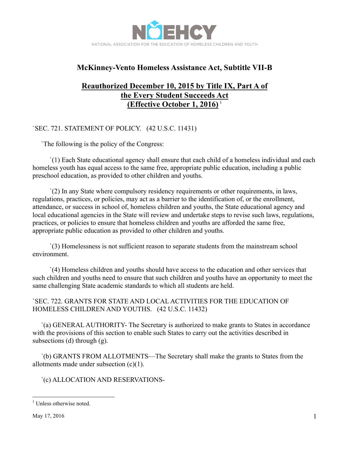

# **McKinney-Vento Homeless Assistance Act, Subtitle VII-B**

## **Reauthorized December 10, 2015 by Title IX, Part A of the Every Student Succeeds Act (Effective October 1, 2016)** <sup>1</sup>

## `SEC. 721. STATEMENT OF POLICY. (42 U.S.C. 11431)

`The following is the policy of the Congress:

 `(1) Each State educational agency shall ensure that each child of a homeless individual and each homeless youth has equal access to the same free, appropriate public education, including a public preschool education, as provided to other children and youths.

 `(2) In any State where compulsory residency requirements or other requirements, in laws, regulations, practices, or policies, may act as a barrier to the identification of, or the enrollment, attendance, or success in school of, homeless children and youths, the State educational agency and local educational agencies in the State will review and undertake steps to revise such laws, regulations, practices, or policies to ensure that homeless children and youths are afforded the same free, appropriate public education as provided to other children and youths.

 `(3) Homelessness is not sufficient reason to separate students from the mainstream school environment.

 `(4) Homeless children and youths should have access to the education and other services that such children and youths need to ensure that such children and youths have an opportunity to meet the same challenging State academic standards to which all students are held.

#### `SEC. 722. GRANTS FOR STATE AND LOCAL ACTIVITIES FOR THE EDUCATION OF HOMELESS CHILDREN AND YOUTHS. (42 U.S.C. 11432)

 `(a) GENERAL AUTHORITY- The Secretary is authorized to make grants to States in accordance with the provisions of this section to enable such States to carry out the activities described in subsections (d) through (g).

 `(b) GRANTS FROM ALLOTMENTS—The Secretary shall make the grants to States from the allotments made under subsection (c)(1).

`(c) ALLOCATION AND RESERVATIONS-

<sup>&</sup>lt;sup>1</sup> Unless otherwise noted.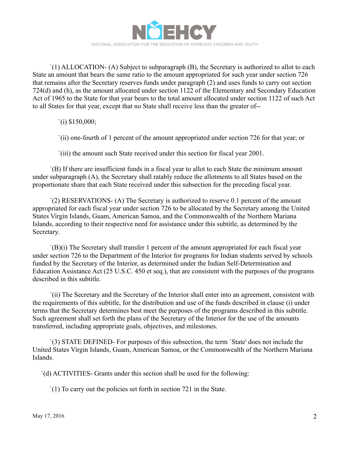

 `(1) ALLOCATION- (A) Subject to subparagraph (B), the Secretary is authorized to allot to each State an amount that bears the same ratio to the amount appropriated for such year under section 726 that remains after the Secretary reserves funds under paragraph (2) and uses funds to carry out section 724(d) and (h), as the amount allocated under section 1122 of the Elementary and Secondary Education Act of 1965 to the State for that year bears to the total amount allocated under section 1122 of such Act to all States for that year, except that no State shall receive less than the greater of--

 $(i)$  \$150,000;

`(ii) one-fourth of 1 percent of the amount appropriated under section 726 for that year; or

`(iii) the amount such State received under this section for fiscal year 2001.

 `(B) If there are insufficient funds in a fiscal year to allot to each State the minimum amount under subparagraph (A), the Secretary shall ratably reduce the allotments to all States based on the proportionate share that each State received under this subsection for the preceding fiscal year.

 `(2) RESERVATIONS- (A) The Secretary is authorized to reserve 0.1 percent of the amount appropriated for each fiscal year under section 726 to be allocated by the Secretary among the United States Virgin Islands, Guam, American Samoa, and the Commonwealth of the Northern Mariana Islands, according to their respective need for assistance under this subtitle, as determined by the Secretary.

 `(B)(i) The Secretary shall transfer 1 percent of the amount appropriated for each fiscal year under section 726 to the Department of the Interior for programs for Indian students served by schools funded by the Secretary of the Interior, as determined under the Indian Self-Determination and Education Assistance Act (25 U.S.C. 450 et seq.), that are consistent with the purposes of the programs described in this subtitle.

 `(ii) The Secretary and the Secretary of the Interior shall enter into an agreement, consistent with the requirements of this subtitle, for the distribution and use of the funds described in clause (i) under terms that the Secretary determines best meet the purposes of the programs described in this subtitle. Such agreement shall set forth the plans of the Secretary of the Interior for the use of the amounts transferred, including appropriate goals, objectives, and milestones.

 `(3) STATE DEFINED- For purposes of this subsection, the term `State' does not include the United States Virgin Islands, Guam, American Samoa, or the Commonwealth of the Northern Mariana Islands.

`(d) ACTIVITIES- Grants under this section shall be used for the following:

`(1) To carry out the policies set forth in section 721 in the State.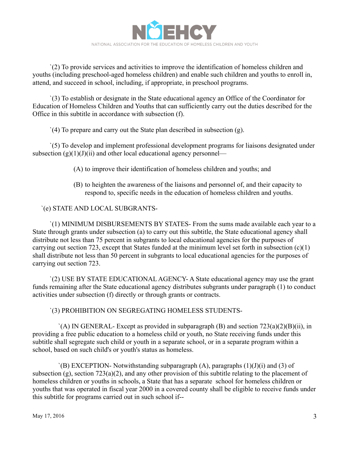

 `(2) To provide services and activities to improve the identification of homeless children and youths (including preschool-aged homeless children) and enable such children and youths to enroll in, attend, and succeed in school, including, if appropriate, in preschool programs.

 `(3) To establish or designate in the State educational agency an Office of the Coordinator for Education of Homeless Children and Youths that can sufficiently carry out the duties described for the Office in this subtitle in accordance with subsection (f).

`(4) To prepare and carry out the State plan described in subsection (g).

 `(5) To develop and implement professional development programs for liaisons designated under subsection  $(g)(1)(J)(ii)$  and other local educational agency personnel—

- (A) to improve their identification of homeless children and youths; and
- (B) to heighten the awareness of the liaisons and personnel of, and their capacity to respond to, specific needs in the education of homeless children and youths.

## `(e) STATE AND LOCAL SUBGRANTS-

 `(1) MINIMUM DISBURSEMENTS BY STATES- From the sums made available each year to a State through grants under subsection (a) to carry out this subtitle, the State educational agency shall distribute not less than 75 percent in subgrants to local educational agencies for the purposes of carrying out section 723, except that States funded at the minimum level set forth in subsection (c)(1) shall distribute not less than 50 percent in subgrants to local educational agencies for the purposes of carrying out section 723.

 `(2) USE BY STATE EDUCATIONAL AGENCY- A State educational agency may use the grant funds remaining after the State educational agency distributes subgrants under paragraph (1) to conduct activities under subsection (f) directly or through grants or contracts.

#### `(3) PROHIBITION ON SEGREGATING HOMELESS STUDENTS-

 $\Gamma(A)$  IN GENERAL- Except as provided in subparagraph (B) and section 723(a)(2)(B)(ii), in providing a free public education to a homeless child or youth, no State receiving funds under this subtitle shall segregate such child or youth in a separate school, or in a separate program within a school, based on such child's or youth's status as homeless.

 $\Gamma(B)$  EXCEPTION- Notwithstanding subparagraph (A), paragraphs (1)(J)(i) and (3) of subsection (g), section  $723(a)(2)$ , and any other provision of this subtitle relating to the placement of homeless children or youths in schools, a State that has a separate school for homeless children or youths that was operated in fiscal year 2000 in a covered county shall be eligible to receive funds under this subtitle for programs carried out in such school if--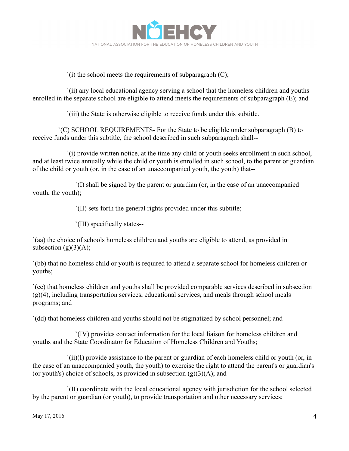

 $(i)$  the school meets the requirements of subparagraph  $(C)$ ;

 `(ii) any local educational agency serving a school that the homeless children and youths enrolled in the separate school are eligible to attend meets the requirements of subparagraph (E); and

`(iii) the State is otherwise eligible to receive funds under this subtitle.

 `(C) SCHOOL REQUIREMENTS- For the State to be eligible under subparagraph (B) to receive funds under this subtitle, the school described in such subparagraph shall--

 `(i) provide written notice, at the time any child or youth seeks enrollment in such school, and at least twice annually while the child or youth is enrolled in such school, to the parent or guardian of the child or youth (or, in the case of an unaccompanied youth, the youth) that--

 `(I) shall be signed by the parent or guardian (or, in the case of an unaccompanied youth, the youth);

`(II) sets forth the general rights provided under this subtitle;

`(III) specifically states--

`(aa) the choice of schools homeless children and youths are eligible to attend, as provided in subsection  $(g)(3)(A)$ ;

`(bb) that no homeless child or youth is required to attend a separate school for homeless children or youths;

`(cc) that homeless children and youths shall be provided comparable services described in subsection (g)(4), including transportation services, educational services, and meals through school meals programs; and

`(dd) that homeless children and youths should not be stigmatized by school personnel; and

 `(IV) provides contact information for the local liaison for homeless children and youths and the State Coordinator for Education of Homeless Children and Youths;

 $\lq$ (ii)(I) provide assistance to the parent or guardian of each homeless child or youth (or, in the case of an unaccompanied youth, the youth) to exercise the right to attend the parent's or guardian's (or youth's) choice of schools, as provided in subsection  $(g)(3)(A)$ ; and

 `(II) coordinate with the local educational agency with jurisdiction for the school selected by the parent or guardian (or youth), to provide transportation and other necessary services;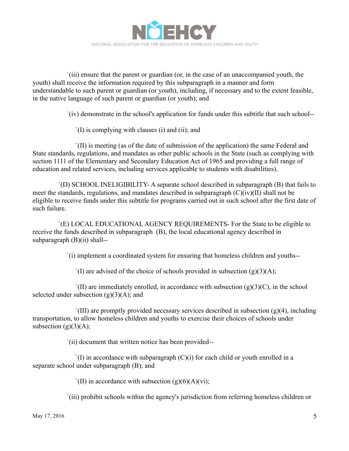

 `(iii) ensure that the parent or guardian (or, in the case of an unaccompanied youth, the youth) shall receive the information required by this subparagraph in a manner and form understandable to such parent or guardian (or youth), including, if necessary and to the extent feasible, in the native language of such parent or guardian (or youth); and

`(iv) demonstrate in the school's application for funds under this subtitle that such school--

`(I) is complying with clauses (i) and (ii); and

 `(II) is meeting (as of the date of submission of the application) the same Federal and State standards, regulations, and mandates as other public schools in the State (such as complying with section 1111 of the Elementary and Secondary Education Act of 1965 and providing a full range of education and related services, including services applicable to students with disabilities).

 `(D) SCHOOL INELIGIBILITY- A separate school described in subparagraph (B) that fails to meet the standards, regulations, and mandates described in subparagraph (C)(iv)(II) shall not be eligible to receive funds under this subtitle for programs carried out in such school after the first date of such failure.

 `(E) LOCAL EDUCATIONAL AGENCY REQUIREMENTS- For the State to be eligible to receive the funds described in subparagraph (B), the local educational agency described in subparagraph (B)(ii) shall--

`(i) implement a coordinated system for ensuring that homeless children and youths--

 $\Gamma(I)$  are advised of the choice of schools provided in subsection (g)(3)(A);

 $\Gamma(H)$  are immediately enrolled, in accordance with subsection  $(g)(3)(C)$ , in the school selected under subsection  $(g)(3)(A)$ ; and

 `(III) are promptly provided necessary services described in subsection (g)(4), including transportation, to allow homeless children and youths to exercise their choices of schools under subsection  $(g)(3)(A)$ ;

`(ii) document that written notice has been provided--

 $\Gamma(I)$  in accordance with subparagraph  $(C)(i)$  for each child or youth enrolled in a separate school under subparagraph (B); and

 $\Gamma(H)$  in accordance with subsection (g)(6)(A)(vi);

`(iii) prohibit schools within the agency's jurisdiction from referring homeless children or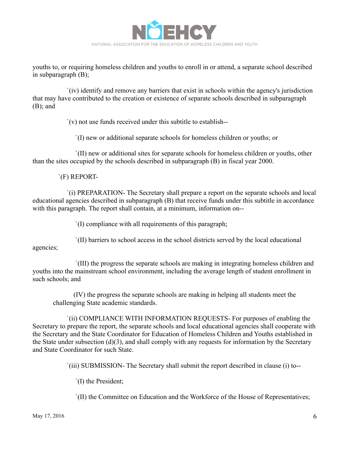

youths to, or requiring homeless children and youths to enroll in or attend, a separate school described in subparagraph (B);

 `(iv) identify and remove any barriers that exist in schools within the agency's jurisdiction that may have contributed to the creation or existence of separate schools described in subparagraph (B); and

`(v) not use funds received under this subtitle to establish--

`(I) new or additional separate schools for homeless children or youths; or

 `(II) new or additional sites for separate schools for homeless children or youths, other than the sites occupied by the schools described in subparagraph (B) in fiscal year 2000.

#### `(F) REPORT-

 `(i) PREPARATION- The Secretary shall prepare a report on the separate schools and local educational agencies described in subparagraph (B) that receive funds under this subtitle in accordance with this paragraph. The report shall contain, at a minimum, information on--

`(I) compliance with all requirements of this paragraph;

`(II) barriers to school access in the school districts served by the local educational

agencies;

 `(III) the progress the separate schools are making in integrating homeless children and youths into the mainstream school environment, including the average length of student enrollment in such schools; and

(IV) the progress the separate schools are making in helping all students meet the challenging State academic standards.

 `(ii) COMPLIANCE WITH INFORMATION REQUESTS- For purposes of enabling the Secretary to prepare the report, the separate schools and local educational agencies shall cooperate with the Secretary and the State Coordinator for Education of Homeless Children and Youths established in the State under subsection (d)(3), and shall comply with any requests for information by the Secretary and State Coordinator for such State.

`(iii) SUBMISSION- The Secretary shall submit the report described in clause (i) to--

`(I) the President;

`(II) the Committee on Education and the Workforce of the House of Representatives;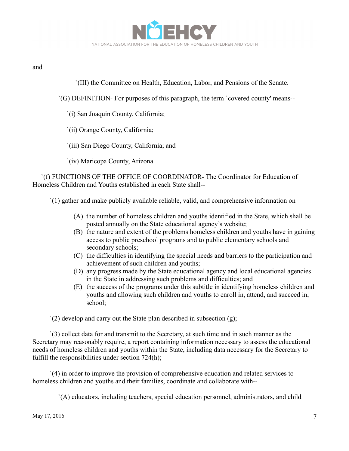

and

- `(III) the Committee on Health, Education, Labor, and Pensions of the Senate.
- `(G) DEFINITION- For purposes of this paragraph, the term `covered county' means--
	- `(i) San Joaquin County, California;
	- `(ii) Orange County, California;
	- `(iii) San Diego County, California; and
	- `(iv) Maricopa County, Arizona.

 `(f) FUNCTIONS OF THE OFFICE OF COORDINATOR- The Coordinator for Education of Homeless Children and Youths established in each State shall--

`(1) gather and make publicly available reliable, valid, and comprehensive information on—

- (A) the number of homeless children and youths identified in the State, which shall be posted annually on the State educational agency's website;
- (B) the nature and extent of the problems homeless children and youths have in gaining access to public preschool programs and to public elementary schools and secondary schools;
- (C) the difficulties in identifying the special needs and barriers to the participation and achievement of such children and youths;
- (D) any progress made by the State educational agency and local educational agencies in the State in addressing such problems and difficulties; and
- (E) the success of the programs under this subtitle in identifying homeless children and youths and allowing such children and youths to enroll in, attend, and succeed in, school;

`(2) develop and carry out the State plan described in subsection (g);

 `(3) collect data for and transmit to the Secretary, at such time and in such manner as the Secretary may reasonably require, a report containing information necessary to assess the educational needs of homeless children and youths within the State, including data necessary for the Secretary to fulfill the responsibilities under section 724(h);

 `(4) in order to improve the provision of comprehensive education and related services to homeless children and youths and their families, coordinate and collaborate with--

`(A) educators, including teachers, special education personnel, administrators, and child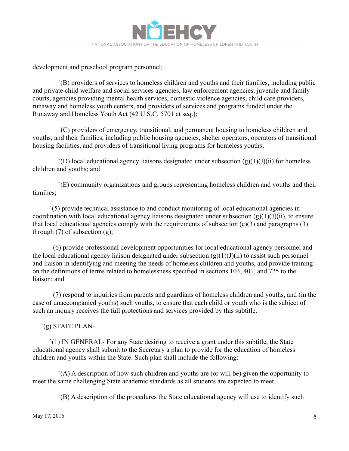

development and preschool program personnel;

 `(B) providers of services to homeless children and youths and their families, including public and private child welfare and social services agencies, law enforcement agencies, juvenile and family courts, agencies providing mental health services, domestic violence agencies, child care providers, runaway and homeless youth centers, and providers of services and programs funded under the Runaway and Homeless Youth Act (42 U.S.C. 5701 et seq.);

(C) providers of emergency, transitional, and permanent housing to homeless children and youths, and their families, including public housing agencies, shelter operators, operators of transitional housing facilities, and providers of transitional living programs for homeless youths;

 $\Gamma(D)$  local educational agency liaisons designated under subsection (g)(1)(J)(ii) for homeless children and youths; and

 `(E) community organizations and groups representing homeless children and youths and their families;

 `(5) provide technical assistance to and conduct monitoring of local educational agencies in coordination with local educational agency liaisons designated under subsection  $(g)(1)(J)(ii)$ , to ensure that local educational agencies comply with the requirements of subsection (e)(3) and paragraphs (3) through  $(7)$  of subsection  $(g)$ ;

(6) provide professional development opportunities for local educational agency personnel and the local educational agency liaison designated under subsection  $(g)(1)(J)(ii)$  to assist such personnel and liaison in identifying and meeting the needs of homeless children and youths, and provide training on the definitions of terms related to homelessness specified in sections 103, 401, and 725 to the liaison; and

(7) respond to inquiries from parents and guardians of homeless children and youths, and (in the case of unaccompanied youths) such youths, to ensure that each child or youth who is the subject of such an inquiry receives the full protections and services provided by this subtitle.

`(g) STATE PLAN-

 `(1) IN GENERAL- For any State desiring to receive a grant under this subtitle, the State educational agency shall submit to the Secretary a plan to provide for the education of homeless children and youths within the State. Such plan shall include the following:

 `(A) A description of how such children and youths are (or will be) given the opportunity to meet the same challenging State academic standards as all students are expected to meet.

`(B) A description of the procedures the State educational agency will use to identify such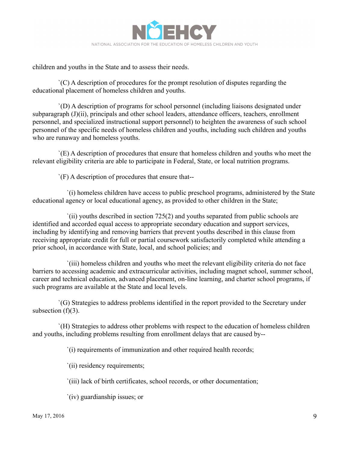

children and youths in the State and to assess their needs.

 `(C) A description of procedures for the prompt resolution of disputes regarding the educational placement of homeless children and youths.

 `(D) A description of programs for school personnel (including liaisons designated under subparagraph (J)(ii), principals and other school leaders, attendance officers, teachers, enrollment personnel, and specialized instructional support personnel) to heighten the awareness of such school personnel of the specific needs of homeless children and youths, including such children and youths who are runaway and homeless youths.

 `(E) A description of procedures that ensure that homeless children and youths who meet the relevant eligibility criteria are able to participate in Federal, State, or local nutrition programs.

`(F) A description of procedures that ensure that--

 `(i) homeless children have access to public preschool programs, administered by the State educational agency or local educational agency, as provided to other children in the State;

 `(ii) youths described in section 725(2) and youths separated from public schools are identified and accorded equal access to appropriate secondary education and support services, including by identifying and removing barriers that prevent youths described in this clause from receiving appropriate credit for full or partial coursework satisfactorily completed while attending a prior school, in accordance with State, local, and school policies; and

 `(iii) homeless children and youths who meet the relevant eligibility criteria do not face barriers to accessing academic and extracurricular activities, including magnet school, summer school, career and technical education, advanced placement, on-line learning, and charter school programs, if such programs are available at the State and local levels.

 `(G) Strategies to address problems identified in the report provided to the Secretary under subsection  $(f)(3)$ .

 `(H) Strategies to address other problems with respect to the education of homeless children and youths, including problems resulting from enrollment delays that are caused by--

`(i) requirements of immunization and other required health records;

`(ii) residency requirements;

`(iii) lack of birth certificates, school records, or other documentation;

`(iv) guardianship issues; or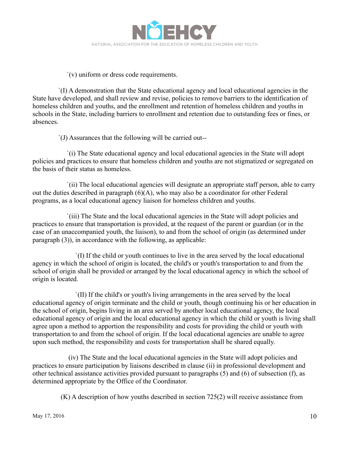

`(v) uniform or dress code requirements.

 `(I) A demonstration that the State educational agency and local educational agencies in the State have developed, and shall review and revise, policies to remove barriers to the identification of homeless children and youths, and the enrollment and retention of homeless children and youths in schools in the State, including barriers to enrollment and retention due to outstanding fees or fines, or absences.

`(J) Assurances that the following will be carried out--

 `(i) The State educational agency and local educational agencies in the State will adopt policies and practices to ensure that homeless children and youths are not stigmatized or segregated on the basis of their status as homeless.

 `(ii) The local educational agencies will designate an appropriate staff person, able to carry out the duties described in paragraph (6)(A), who may also be a coordinator for other Federal programs, as a local educational agency liaison for homeless children and youths.

 `(iii) The State and the local educational agencies in the State will adopt policies and practices to ensure that transportation is provided, at the request of the parent or guardian (or in the case of an unaccompanied youth, the liaison), to and from the school of origin (as determined under paragraph (3)), in accordance with the following, as applicable:

 `(I) If the child or youth continues to live in the area served by the local educational agency in which the school of origin is located, the child's or youth's transportation to and from the school of origin shall be provided or arranged by the local educational agency in which the school of origin is located.

 `(II) If the child's or youth's living arrangements in the area served by the local educational agency of origin terminate and the child or youth, though continuing his or her education in the school of origin, begins living in an area served by another local educational agency, the local educational agency of origin and the local educational agency in which the child or youth is living shall agree upon a method to apportion the responsibility and costs for providing the child or youth with transportation to and from the school of origin. If the local educational agencies are unable to agree upon such method, the responsibility and costs for transportation shall be shared equally.

(iv) The State and the local educational agencies in the State will adopt policies and practices to ensure participation by liaisons described in clause (ii) in professional development and other technical assistance activities provided pursuant to paragraphs (5) and (6) of subsection (f), as determined appropriate by the Office of the Coordinator.

(K) A description of how youths described in section 725(2) will receive assistance from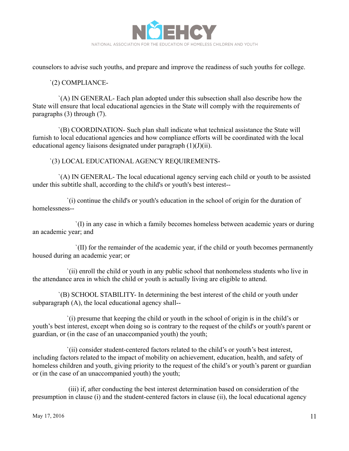

counselors to advise such youths, and prepare and improve the readiness of such youths for college.

#### `(2) COMPLIANCE-

 `(A) IN GENERAL- Each plan adopted under this subsection shall also describe how the State will ensure that local educational agencies in the State will comply with the requirements of paragraphs (3) through (7).

 `(B) COORDINATION- Such plan shall indicate what technical assistance the State will furnish to local educational agencies and how compliance efforts will be coordinated with the local educational agency liaisons designated under paragraph  $(1)(J)(ii)$ .

`(3) LOCAL EDUCATIONAL AGENCY REQUIREMENTS-

 `(A) IN GENERAL- The local educational agency serving each child or youth to be assisted under this subtitle shall, according to the child's or youth's best interest--

 `(i) continue the child's or youth's education in the school of origin for the duration of homelessness--

 `(I) in any case in which a family becomes homeless between academic years or during an academic year; and

 `(II) for the remainder of the academic year, if the child or youth becomes permanently housed during an academic year; or

 `(ii) enroll the child or youth in any public school that nonhomeless students who live in the attendance area in which the child or youth is actually living are eligible to attend.

 `(B) SCHOOL STABILITY- In determining the best interest of the child or youth under subparagraph (A), the local educational agency shall--

 `(i) presume that keeping the child or youth in the school of origin is in the child's or youth's best interest, except when doing so is contrary to the request of the child's or youth's parent or guardian, or (in the case of an unaccompanied youth) the youth;

 `(ii) consider student-centered factors related to the child's or youth's best interest, including factors related to the impact of mobility on achievement, education, health, and safety of homeless children and youth, giving priority to the request of the child's or youth's parent or guardian or (in the case of an unaccompanied youth) the youth;

(iii) if, after conducting the best interest determination based on consideration of the presumption in clause (i) and the student-centered factors in clause (ii), the local educational agency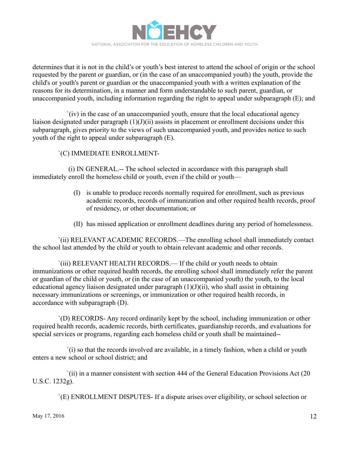

determines that it is not in the child's or youth's best interest to attend the school of origin or the school requested by the parent or guardian, or (in the case of an unaccompanied youth) the youth, provide the child's or youth's parent or guardian or the unaccompanied youth with a written explanation of the reasons for its determination, in a manner and form understandable to such parent, guardian, or unaccompanied youth, including information regarding the right to appeal under subparagraph (E); and

 `(iv) in the case of an unaccompanied youth, ensure that the local educational agency liaison designated under paragraph  $(1)(J)(ii)$  assists in placement or enrollment decisions under this subparagraph, gives priority to the views of such unaccompanied youth, and provides notice to such youth of the right to appeal under subparagraph (E).

## `(C) IMMEDIATE ENROLLMENT-

(i) IN GENERAL.-- The school selected in accordance with this paragraph shall immediately enroll the homeless child or youth, even if the child or youth—

- (I) is unable to produce records normally required for enrollment, such as previous academic records, records of immunization and other required health records, proof of residency, or other documentation; or
- (II) has missed application or enrollment deadlines during any period of homelessness.

 `(ii) RELEVANT ACADEMIC RECORDS.—The enrolling school shall immediately contact the school last attended by the child or youth to obtain relevant academic and other records.

 `(iii) RELEVANT HEALTH RECORDS.— If the child or youth needs to obtain immunizations or other required health records, the enrolling school shall immediately refer the parent or guardian of the child or youth, or (in the case of an unaccompanied youth) the youth, to the local educational agency liaison designated under paragraph  $(1)(J)(ii)$ , who shall assist in obtaining necessary immunizations or screenings, or immunization or other required health records, in accordance with subparagraph (D).

 `(D) RECORDS- Any record ordinarily kept by the school, including immunization or other required health records, academic records, birth certificates, guardianship records, and evaluations for special services or programs, regarding each homeless child or youth shall be maintained--

 `(i) so that the records involved are available, in a timely fashion, when a child or youth enters a new school or school district; and

 `(ii) in a manner consistent with section 444 of the General Education Provisions Act (20 U.S.C. 1232g).

`(E) ENROLLMENT DISPUTES- If a dispute arises over eligibility, or school selection or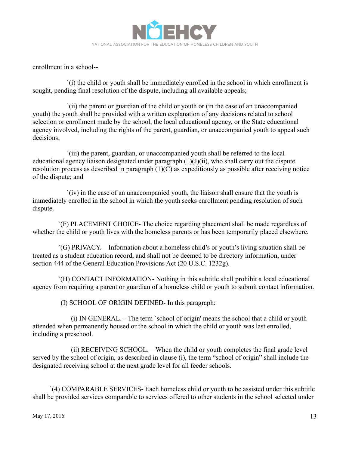

enrollment in a school--

 `(i) the child or youth shall be immediately enrolled in the school in which enrollment is sought, pending final resolution of the dispute, including all available appeals;

 `(ii) the parent or guardian of the child or youth or (in the case of an unaccompanied youth) the youth shall be provided with a written explanation of any decisions related to school selection or enrollment made by the school, the local educational agency, or the State educational agency involved, including the rights of the parent, guardian, or unaccompanied youth to appeal such decisions;

 `(iii) the parent, guardian, or unaccompanied youth shall be referred to the local educational agency liaison designated under paragraph  $(1)(J)(ii)$ , who shall carry out the dispute resolution process as described in paragraph (1)(C) as expeditiously as possible after receiving notice of the dispute; and

 `(iv) in the case of an unaccompanied youth, the liaison shall ensure that the youth is immediately enrolled in the school in which the youth seeks enrollment pending resolution of such dispute.

 `(F) PLACEMENT CHOICE- The choice regarding placement shall be made regardless of whether the child or youth lives with the homeless parents or has been temporarily placed elsewhere.

 `(G) PRIVACY.—Information about a homeless child's or youth's living situation shall be treated as a student education record, and shall not be deemed to be directory information, under section 444 of the General Education Provisions Act (20 U.S.C. 1232g).

 `(H) CONTACT INFORMATION- Nothing in this subtitle shall prohibit a local educational agency from requiring a parent or guardian of a homeless child or youth to submit contact information.

(I) SCHOOL OF ORIGIN DEFINED- In this paragraph:

(i) IN GENERAL.-- The term `school of origin' means the school that a child or youth attended when permanently housed or the school in which the child or youth was last enrolled, including a preschool.

(ii) RECEIVING SCHOOL.—When the child or youth completes the final grade level served by the school of origin, as described in clause (i), the term "school of origin" shall include the designated receiving school at the next grade level for all feeder schools.

 `(4) COMPARABLE SERVICES- Each homeless child or youth to be assisted under this subtitle shall be provided services comparable to services offered to other students in the school selected under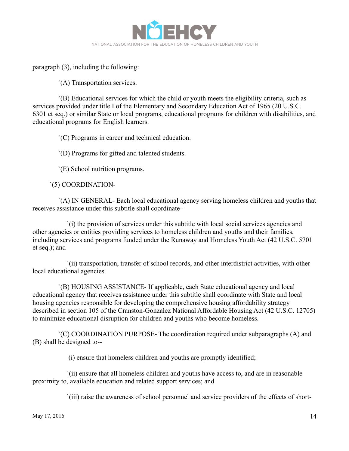

paragraph (3), including the following:

`(A) Transportation services.

 `(B) Educational services for which the child or youth meets the eligibility criteria, such as services provided under title I of the Elementary and Secondary Education Act of 1965 (20 U.S.C. 6301 et seq.) or similar State or local programs, educational programs for children with disabilities, and educational programs for English learners.

`(C) Programs in career and technical education.

`(D) Programs for gifted and talented students.

`(E) School nutrition programs.

`(5) COORDINATION-

 `(A) IN GENERAL- Each local educational agency serving homeless children and youths that receives assistance under this subtitle shall coordinate--

 `(i) the provision of services under this subtitle with local social services agencies and other agencies or entities providing services to homeless children and youths and their families, including services and programs funded under the Runaway and Homeless Youth Act (42 U.S.C. 5701 et seq.); and

 `(ii) transportation, transfer of school records, and other interdistrict activities, with other local educational agencies.

 `(B) HOUSING ASSISTANCE- If applicable, each State educational agency and local educational agency that receives assistance under this subtitle shall coordinate with State and local housing agencies responsible for developing the comprehensive housing affordability strategy described in section 105 of the Cranston-Gonzalez National Affordable Housing Act (42 U.S.C. 12705) to minimize educational disruption for children and youths who become homeless.

 `(C) COORDINATION PURPOSE- The coordination required under subparagraphs (A) and (B) shall be designed to--

(i) ensure that homeless children and youths are promptly identified;

 `(ii) ensure that all homeless children and youths have access to, and are in reasonable proximity to, available education and related support services; and

`(iii) raise the awareness of school personnel and service providers of the effects of short-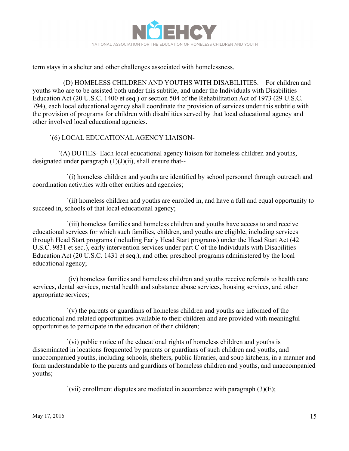

term stays in a shelter and other challenges associated with homelessness.

(D) HOMELESS CHILDREN AND YOUTHS WITH DISABILITIES.—For children and youths who are to be assisted both under this subtitle, and under the Individuals with Disabilities Education Act (20 U.S.C. 1400 et seq.) or section 504 of the Rehabilitation Act of 1973 (29 U.S.C. 794), each local educational agency shall coordinate the provision of services under this subtitle with the provision of programs for children with disabilities served by that local educational agency and other involved local educational agencies.

#### `(6) LOCAL EDUCATIONAL AGENCY LIAISON-

 `(A) DUTIES- Each local educational agency liaison for homeless children and youths, designated under paragraph  $(1)(J)(ii)$ , shall ensure that--

 `(i) homeless children and youths are identified by school personnel through outreach and coordination activities with other entities and agencies;

 `(ii) homeless children and youths are enrolled in, and have a full and equal opportunity to succeed in, schools of that local educational agency;

 `(iii) homeless families and homeless children and youths have access to and receive educational services for which such families, children, and youths are eligible, including services through Head Start programs (including Early Head Start programs) under the Head Start Act (42 U.S.C. 9831 et seq.), early intervention services under part C of the Individuals with Disabilities Education Act (20 U.S.C. 1431 et seq.), and other preschool programs administered by the local educational agency;

(iv) homeless families and homeless children and youths receive referrals to health care services, dental services, mental health and substance abuse services, housing services, and other appropriate services;

 `(v) the parents or guardians of homeless children and youths are informed of the educational and related opportunities available to their children and are provided with meaningful opportunities to participate in the education of their children;

 `(vi) public notice of the educational rights of homeless children and youths is disseminated in locations frequented by parents or guardians of such children and youths, and unaccompanied youths, including schools, shelters, public libraries, and soup kitchens, in a manner and form understandable to the parents and guardians of homeless children and youths, and unaccompanied youths;

`(vii) enrollment disputes are mediated in accordance with paragraph (3)(E);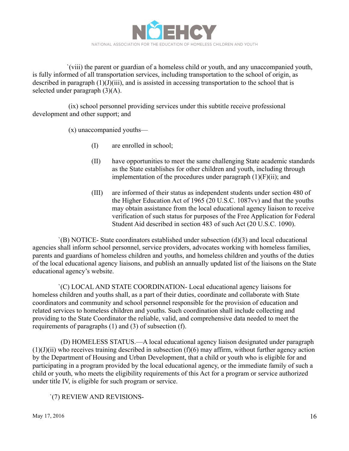

 `(viii) the parent or guardian of a homeless child or youth, and any unaccompanied youth, is fully informed of all transportation services, including transportation to the school of origin, as described in paragraph  $(1)(J)(iii)$ , and is assisted in accessing transportation to the school that is selected under paragraph (3)(A).

(ix) school personnel providing services under this subtitle receive professional development and other support; and

(x) unaccompanied youths—

- (I) are enrolled in school;
- (II) have opportunities to meet the same challenging State academic standards as the State establishes for other children and youth, including through implementation of the procedures under paragraph  $(1)(F)(ii)$ ; and
- (III) are informed of their status as independent students under section 480 of the Higher Education Act of 1965 (20 U.S.C. 1087vv) and that the youths may obtain assistance from the local educational agency liaison to receive verification of such status for purposes of the Free Application for Federal Student Aid described in section 483 of such Act (20 U.S.C. 1090).

 $\Gamma(B)$  NOTICE- State coordinators established under subsection (d)(3) and local educational agencies shall inform school personnel, service providers, advocates working with homeless families, parents and guardians of homeless children and youths, and homeless children and youths of the duties of the local educational agency liaisons, and publish an annually updated list of the liaisons on the State educational agency's website.

 `(C) LOCAL AND STATE COORDINATION- Local educational agency liaisons for homeless children and youths shall, as a part of their duties, coordinate and collaborate with State coordinators and community and school personnel responsible for the provision of education and related services to homeless children and youths. Such coordination shall include collecting and providing to the State Coordinator the reliable, valid, and comprehensive data needed to meet the requirements of paragraphs (1) and (3) of subsection (f).

(D) HOMELESS STATUS.—A local educational agency liaison designated under paragraph  $(1)(J)(ii)$  who receives training described in subsection  $(f)(6)$  may affirm, without further agency action by the Department of Housing and Urban Development, that a child or youth who is eligible for and participating in a program provided by the local educational agency, or the immediate family of such a child or youth, who meets the eligibility requirements of this Act for a program or service authorized under title IV, is eligible for such program or service.

`(7) REVIEW AND REVISIONS-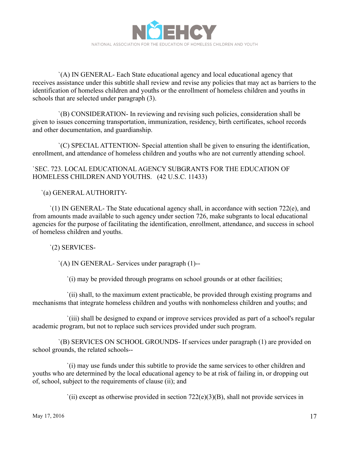

 `(A) IN GENERAL- Each State educational agency and local educational agency that receives assistance under this subtitle shall review and revise any policies that may act as barriers to the identification of homeless children and youths or the enrollment of homeless children and youths in schools that are selected under paragraph (3).

 `(B) CONSIDERATION- In reviewing and revising such policies, consideration shall be given to issues concerning transportation, immunization, residency, birth certificates, school records and other documentation, and guardianship.

 `(C) SPECIAL ATTENTION- Special attention shall be given to ensuring the identification, enrollment, and attendance of homeless children and youths who are not currently attending school.

`SEC. 723. LOCAL EDUCATIONAL AGENCY SUBGRANTS FOR THE EDUCATION OF HOMELESS CHILDREN AND YOUTHS. (42 U.S.C. 11433)

## `(a) GENERAL AUTHORITY-

 `(1) IN GENERAL- The State educational agency shall, in accordance with section 722(e), and from amounts made available to such agency under section 726, make subgrants to local educational agencies for the purpose of facilitating the identification, enrollment, attendance, and success in school of homeless children and youths.

`(2) SERVICES-

`(A) IN GENERAL- Services under paragraph (1)--

`(i) may be provided through programs on school grounds or at other facilities;

 `(ii) shall, to the maximum extent practicable, be provided through existing programs and mechanisms that integrate homeless children and youths with nonhomeless children and youths; and

 `(iii) shall be designed to expand or improve services provided as part of a school's regular academic program, but not to replace such services provided under such program.

 `(B) SERVICES ON SCHOOL GROUNDS- If services under paragraph (1) are provided on school grounds, the related schools--

 `(i) may use funds under this subtitle to provide the same services to other children and youths who are determined by the local educational agency to be at risk of failing in, or dropping out of, school, subject to the requirements of clause (ii); and

 $(iii)$  except as otherwise provided in section 722(e)(3)(B), shall not provide services in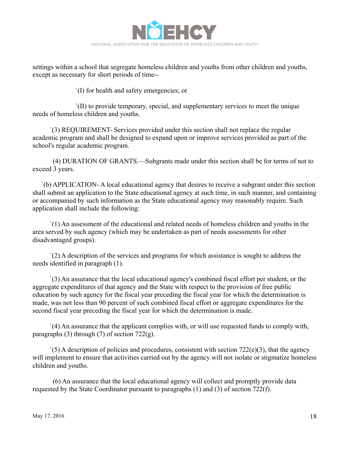

settings within a school that segregate homeless children and youths from other children and youths, except as necessary for short periods of time--

`(I) for health and safety emergencies; or

 `(II) to provide temporary, special, and supplementary services to meet the unique needs of homeless children and youths.

 `(3) REQUIREMENT- Services provided under this section shall not replace the regular academic program and shall be designed to expand upon or improve services provided as part of the school's regular academic program.

(4) DURATION OF GRANTS.—Subgrants made under this section shall be for terms of not to exceed 3 years.

 `(b) APPLICATION- A local educational agency that desires to receive a subgrant under this section shall submit an application to the State educational agency at such time, in such manner, and containing or accompanied by such information as the State educational agency may reasonably require. Such application shall include the following:

 `(1) An assessment of the educational and related needs of homeless children and youths in the area served by such agency (which may be undertaken as part of needs assessments for other disadvantaged groups).

 `(2) A description of the services and programs for which assistance is sought to address the needs identified in paragraph (1).

 `(3) An assurance that the local educational agency's combined fiscal effort per student, or the aggregate expenditures of that agency and the State with respect to the provision of free public education by such agency for the fiscal year preceding the fiscal year for which the determination is made, was not less than 90 percent of such combined fiscal effort or aggregate expenditures for the second fiscal year preceding the fiscal year for which the determination is made.

 `(4) An assurance that the applicant complies with, or will use requested funds to comply with, paragraphs (3) through (7) of section 722(g).

 $(5)$  A description of policies and procedures, consistent with section 722(e)(3), that the agency will implement to ensure that activities carried out by the agency will not isolate or stigmatize homeless children and youths.

(6) An assurance that the local educational agency will collect and promptly provide data requested by the State Coordinator pursuant to paragraphs (1) and (3) of section 722(f).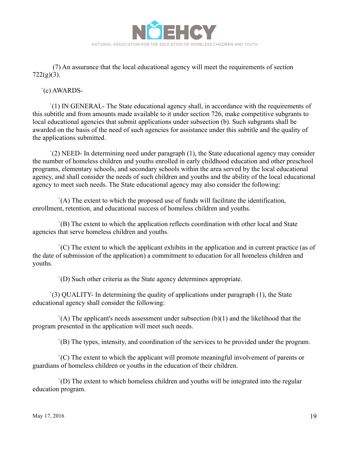

(7) An assurance that the local educational agency will meet the requirements of section  $722(g)(3)$ .

`(c) AWARDS-

 `(1) IN GENERAL- The State educational agency shall, in accordance with the requirements of this subtitle and from amounts made available to it under section 726, make competitive subgrants to local educational agencies that submit applications under subsection (b). Such subgrants shall be awarded on the basis of the need of such agencies for assistance under this subtitle and the quality of the applications submitted.

 `(2) NEED- In determining need under paragraph (1), the State educational agency may consider the number of homeless children and youths enrolled in early childhood education and other preschool programs, elementary schools, and secondary schools within the area served by the local educational agency, and shall consider the needs of such children and youths and the ability of the local educational agency to meet such needs. The State educational agency may also consider the following:

 `(A) The extent to which the proposed use of funds will facilitate the identification, enrollment, retention, and educational success of homeless children and youths.

 `(B) The extent to which the application reflects coordination with other local and State agencies that serve homeless children and youths.

 `(C) The extent to which the applicant exhibits in the application and in current practice (as of the date of submission of the application) a commitment to education for all homeless children and youths.

`(D) Such other criteria as the State agency determines appropriate.

 `(3) QUALITY- In determining the quality of applications under paragraph (1), the State educational agency shall consider the following:

 $(A)$  The applicant's needs assessment under subsection  $(b)(1)$  and the likelihood that the program presented in the application will meet such needs.

`(B) The types, intensity, and coordination of the services to be provided under the program.

 `(C) The extent to which the applicant will promote meaningful involvement of parents or guardians of homeless children or youths in the education of their children.

 `(D) The extent to which homeless children and youths will be integrated into the regular education program.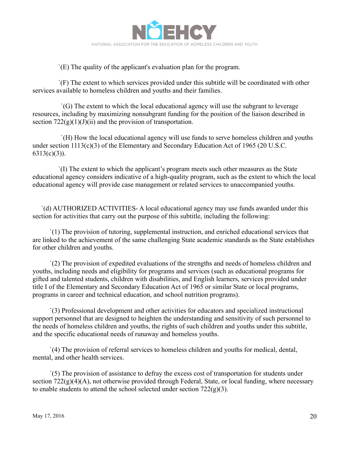

`(E) The quality of the applicant's evaluation plan for the program.

 `(F) The extent to which services provided under this subtitle will be coordinated with other services available to homeless children and youths and their families.

`(G) The extent to which the local educational agency will use the subgrant to leverage resources, including by maximizing nonsubgrant funding for the position of the liaison described in section  $722(g)(1)(J)(ii)$  and the provision of transportation.

`(H) How the local educational agency will use funds to serve homeless children and youths under section 1113(c)(3) of the Elementary and Secondary Education Act of 1965 (20 U.S.C.  $6313(c)(3)$ ).

 `(I) The extent to which the applicant's program meets such other measures as the State educational agency considers indicative of a high-quality program, such as the extent to which the local educational agency will provide case management or related services to unaccompanied youths.

 `(d) AUTHORIZED ACTIVITIES- A local educational agency may use funds awarded under this section for activities that carry out the purpose of this subtitle, including the following:

 `(1) The provision of tutoring, supplemental instruction, and enriched educational services that are linked to the achievement of the same challenging State academic standards as the State establishes for other children and youths.

 `(2) The provision of expedited evaluations of the strengths and needs of homeless children and youths, including needs and eligibility for programs and services (such as educational programs for gifted and talented students, children with disabilities, and English learners, services provided under title I of the Elementary and Secondary Education Act of 1965 or similar State or local programs, programs in career and technical education, and school nutrition programs).

 `(3) Professional development and other activities for educators and specialized instructional support personnel that are designed to heighten the understanding and sensitivity of such personnel to the needs of homeless children and youths, the rights of such children and youths under this subtitle, and the specific educational needs of runaway and homeless youths.

 `(4) The provision of referral services to homeless children and youths for medical, dental, mental, and other health services.

 `(5) The provision of assistance to defray the excess cost of transportation for students under section  $722(g)(4)(A)$ , not otherwise provided through Federal, State, or local funding, where necessary to enable students to attend the school selected under section  $722(g)(3)$ .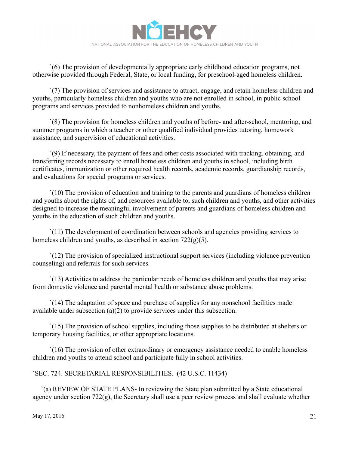

 `(6) The provision of developmentally appropriate early childhood education programs, not otherwise provided through Federal, State, or local funding, for preschool-aged homeless children.

 `(7) The provision of services and assistance to attract, engage, and retain homeless children and youths, particularly homeless children and youths who are not enrolled in school, in public school programs and services provided to nonhomeless children and youths.

 `(8) The provision for homeless children and youths of before- and after-school, mentoring, and summer programs in which a teacher or other qualified individual provides tutoring, homework assistance, and supervision of educational activities.

 `(9) If necessary, the payment of fees and other costs associated with tracking, obtaining, and transferring records necessary to enroll homeless children and youths in school, including birth certificates, immunization or other required health records, academic records, guardianship records, and evaluations for special programs or services.

 `(10) The provision of education and training to the parents and guardians of homeless children and youths about the rights of, and resources available to, such children and youths, and other activities designed to increase the meaningful involvement of parents and guardians of homeless children and youths in the education of such children and youths.

 `(11) The development of coordination between schools and agencies providing services to homeless children and youths, as described in section  $722(g)(5)$ .

 `(12) The provision of specialized instructional support services (including violence prevention counseling) and referrals for such services.

 `(13) Activities to address the particular needs of homeless children and youths that may arise from domestic violence and parental mental health or substance abuse problems.

 `(14) The adaptation of space and purchase of supplies for any nonschool facilities made available under subsection (a)(2) to provide services under this subsection.

 `(15) The provision of school supplies, including those supplies to be distributed at shelters or temporary housing facilities, or other appropriate locations.

 `(16) The provision of other extraordinary or emergency assistance needed to enable homeless children and youths to attend school and participate fully in school activities.

`SEC. 724. SECRETARIAL RESPONSIBILITIES. (42 U.S.C. 11434)

 `(a) REVIEW OF STATE PLANS- In reviewing the State plan submitted by a State educational agency under section 722(g), the Secretary shall use a peer review process and shall evaluate whether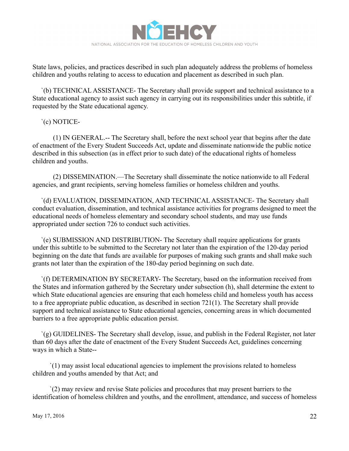

State laws, policies, and practices described in such plan adequately address the problems of homeless children and youths relating to access to education and placement as described in such plan.

 `(b) TECHNICAL ASSISTANCE- The Secretary shall provide support and technical assistance to a State educational agency to assist such agency in carrying out its responsibilities under this subtitle, if requested by the State educational agency.

#### `(c) NOTICE-

(1) IN GENERAL.-- The Secretary shall, before the next school year that begins after the date of enactment of the Every Student Succeeds Act, update and disseminate nationwide the public notice described in this subsection (as in effect prior to such date) of the educational rights of homeless children and youths.

(2) DISSEMINATION.—The Secretary shall disseminate the notice nationwide to all Federal agencies, and grant recipients, serving homeless families or homeless children and youths.

 `(d) EVALUATION, DISSEMINATION, AND TECHNICAL ASSISTANCE- The Secretary shall conduct evaluation, dissemination, and technical assistance activities for programs designed to meet the educational needs of homeless elementary and secondary school students, and may use funds appropriated under section 726 to conduct such activities.

 `(e) SUBMISSION AND DISTRIBUTION- The Secretary shall require applications for grants under this subtitle to be submitted to the Secretary not later than the expiration of the 120-day period beginning on the date that funds are available for purposes of making such grants and shall make such grants not later than the expiration of the 180-day period beginning on such date.

 `(f) DETERMINATION BY SECRETARY- The Secretary, based on the information received from the States and information gathered by the Secretary under subsection (h), shall determine the extent to which State educational agencies are ensuring that each homeless child and homeless youth has access to a free appropriate public education, as described in section 721(1). The Secretary shall provide support and technical assistance to State educational agencies, concerning areas in which documented barriers to a free appropriate public education persist.

 `(g) GUIDELINES- The Secretary shall develop, issue, and publish in the Federal Register, not later than 60 days after the date of enactment of the Every Student Succeeds Act, guidelines concerning ways in which a State--

 `(1) may assist local educational agencies to implement the provisions related to homeless children and youths amended by that Act; and

 `(2) may review and revise State policies and procedures that may present barriers to the identification of homeless children and youths, and the enrollment, attendance, and success of homeless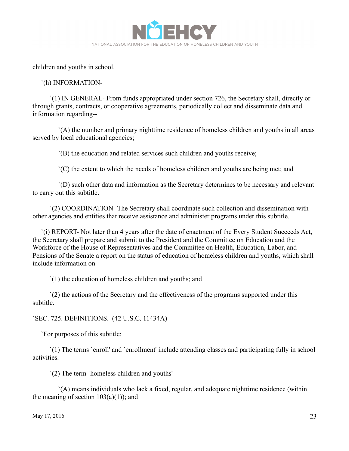

children and youths in school.

`(h) INFORMATION-

 `(1) IN GENERAL- From funds appropriated under section 726, the Secretary shall, directly or through grants, contracts, or cooperative agreements, periodically collect and disseminate data and information regarding--

 `(A) the number and primary nighttime residence of homeless children and youths in all areas served by local educational agencies;

`(B) the education and related services such children and youths receive;

`(C) the extent to which the needs of homeless children and youths are being met; and

 `(D) such other data and information as the Secretary determines to be necessary and relevant to carry out this subtitle.

 `(2) COORDINATION- The Secretary shall coordinate such collection and dissemination with other agencies and entities that receive assistance and administer programs under this subtitle.

 `(i) REPORT- Not later than 4 years after the date of enactment of the Every Student Succeeds Act, the Secretary shall prepare and submit to the President and the Committee on Education and the Workforce of the House of Representatives and the Committee on Health, Education, Labor, and Pensions of the Senate a report on the status of education of homeless children and youths, which shall include information on--

`(1) the education of homeless children and youths; and

 `(2) the actions of the Secretary and the effectiveness of the programs supported under this subtitle.

`SEC. 725. DEFINITIONS. (42 U.S.C. 11434A)

`For purposes of this subtitle:

 `(1) The terms `enroll' and `enrollment' include attending classes and participating fully in school activities.

`(2) The term `homeless children and youths'--

 `(A) means individuals who lack a fixed, regular, and adequate nighttime residence (within the meaning of section  $103(a)(1)$ ; and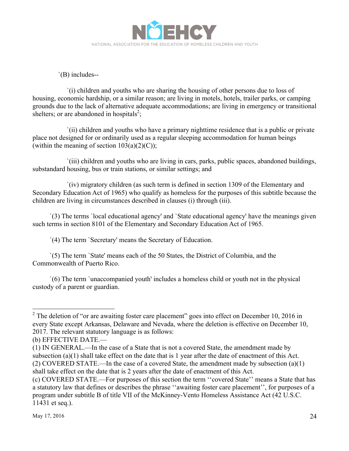

`(B) includes--

 `(i) children and youths who are sharing the housing of other persons due to loss of housing, economic hardship, or a similar reason; are living in motels, hotels, trailer parks, or camping grounds due to the lack of alternative adequate accommodations; are living in emergency or transitional shelters; or are abandoned in hospitals<sup>2</sup>;

 `(ii) children and youths who have a primary nighttime residence that is a public or private place not designed for or ordinarily used as a regular sleeping accommodation for human beings (within the meaning of section  $103(a)(2)(C)$ );

 `(iii) children and youths who are living in cars, parks, public spaces, abandoned buildings, substandard housing, bus or train stations, or similar settings; and

 `(iv) migratory children (as such term is defined in section 1309 of the Elementary and Secondary Education Act of 1965) who qualify as homeless for the purposes of this subtitle because the children are living in circumstances described in clauses (i) through (iii).

 `(3) The terms `local educational agency' and `State educational agency' have the meanings given such terms in section 8101 of the Elementary and Secondary Education Act of 1965.

`(4) The term `Secretary' means the Secretary of Education.

 `(5) The term `State' means each of the 50 States, the District of Columbia, and the Commonwealth of Puerto Rico.

 `(6) The term `unaccompanied youth' includes a homeless child or youth not in the physical custody of a parent or guardian.

 $2$  The deletion of "or are awaiting foster care placement" goes into effect on December 10, 2016 in every State except Arkansas, Delaware and Nevada, where the deletion is effective on December 10, 2017. The relevant statutory language is as follows:

<sup>(</sup>b) EFFECTIVE DATE.—

<sup>(1)</sup> IN GENERAL.—In the case of a State that is not a covered State, the amendment made by subsection (a)(1) shall take effect on the date that is 1 year after the date of enactment of this Act. (2) COVERED STATE.—In the case of a covered State, the amendment made by subsection (a)(1) shall take effect on the date that is 2 years after the date of enactment of this Act.

<sup>(</sup>c) COVERED STATE.—For purposes of this section the term ''covered State'' means a State that has a statutory law that defines or describes the phrase ''awaiting foster care placement'', for purposes of a program under subtitle B of title VII of the McKinney-Vento Homeless Assistance Act (42 U.S.C. 11431 et seq.).